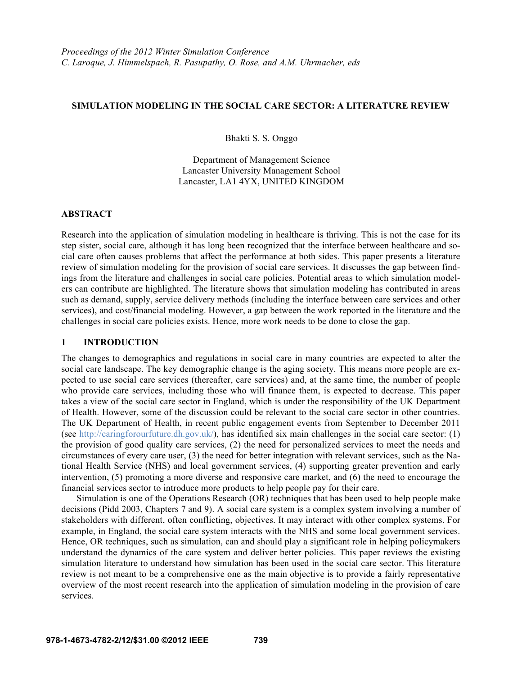# **SIMULATION MODELING IN THE SOCIAL CARE SECTOR: A LITERATURE REVIEW**

Bhakti S. S. Onggo

Department of Management Science Lancaster University Management School Lancaster, LA1 4YX, UNITED KINGDOM

# **ABSTRACT**

Research into the application of simulation modeling in healthcare is thriving. This is not the case for its step sister, social care, although it has long been recognized that the interface between healthcare and social care often causes problems that affect the performance at both sides. This paper presents a literature review of simulation modeling for the provision of social care services. It discusses the gap between findings from the literature and challenges in social care policies. Potential areas to which simulation modelers can contribute are highlighted. The literature shows that simulation modeling has contributed in areas such as demand, supply, service delivery methods (including the interface between care services and other services), and cost/financial modeling. However, a gap between the work reported in the literature and the challenges in social care policies exists. Hence, more work needs to be done to close the gap.

# **1 INTRODUCTION**

The changes to demographics and regulations in social care in many countries are expected to alter the social care landscape. The key demographic change is the aging society. This means more people are expected to use social care services (thereafter, care services) and, at the same time, the number of people who provide care services, including those who will finance them, is expected to decrease. This paper takes a view of the social care sector in England, which is under the responsibility of the UK Department of Health. However, some of the discussion could be relevant to the social care sector in other countries. The UK Department of Health, in recent public engagement events from September to December 2011 (see http://caringforourfuture.dh.gov.uk/), has identified six main challenges in the social care sector: (1) the provision of good quality care services, (2) the need for personalized services to meet the needs and circumstances of every care user, (3) the need for better integration with relevant services, such as the National Health Service (NHS) and local government services, (4) supporting greater prevention and early intervention, (5) promoting a more diverse and responsive care market, and (6) the need to encourage the financial services sector to introduce more products to help people pay for their care.

Simulation is one of the Operations Research (OR) techniques that has been used to help people make decisions (Pidd 2003, Chapters 7 and 9). A social care system is a complex system involving a number of stakeholders with different, often conflicting, objectives. It may interact with other complex systems. For example, in England, the social care system interacts with the NHS and some local government services. Hence, OR techniques, such as simulation, can and should play a significant role in helping policymakers understand the dynamics of the care system and deliver better policies. This paper reviews the existing simulation literature to understand how simulation has been used in the social care sector. This literature review is not meant to be a comprehensive one as the main objective is to provide a fairly representative overview of the most recent research into the application of simulation modeling in the provision of care services.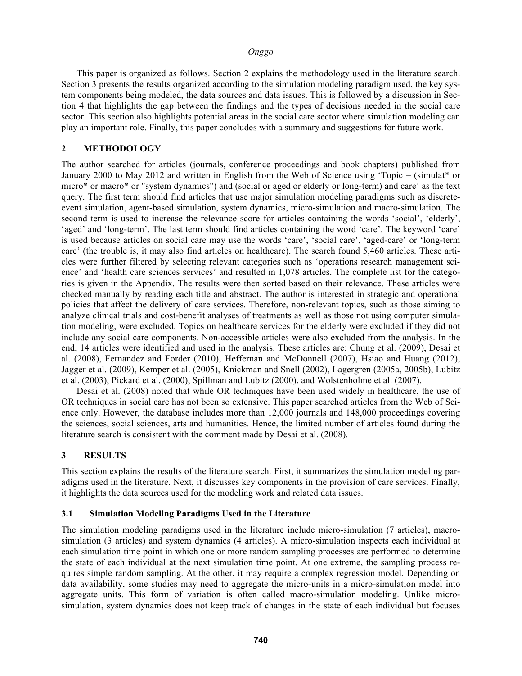This paper is organized as follows. Section 2 explains the methodology used in the literature search. Section 3 presents the results organized according to the simulation modeling paradigm used, the key system components being modeled, the data sources and data issues. This is followed by a discussion in Section 4 that highlights the gap between the findings and the types of decisions needed in the social care sector. This section also highlights potential areas in the social care sector where simulation modeling can play an important role. Finally, this paper concludes with a summary and suggestions for future work.

## **2 METHODOLOGY**

The author searched for articles (journals, conference proceedings and book chapters) published from January 2000 to May 2012 and written in English from the Web of Science using 'Topic = (simulat\* or micro\* or macro\* or "system dynamics") and (social or aged or elderly or long-term) and care' as the text query. The first term should find articles that use major simulation modeling paradigms such as discreteevent simulation, agent-based simulation, system dynamics, micro-simulation and macro-simulation. The second term is used to increase the relevance score for articles containing the words 'social', 'elderly', 'aged' and 'long-term'. The last term should find articles containing the word 'care'. The keyword 'care' is used because articles on social care may use the words 'care', 'social care', 'aged-care' or 'long-term care' (the trouble is, it may also find articles on healthcare). The search found 5,460 articles. These articles were further filtered by selecting relevant categories such as 'operations research management science' and 'health care sciences services' and resulted in 1,078 articles. The complete list for the categories is given in the Appendix. The results were then sorted based on their relevance. These articles were checked manually by reading each title and abstract. The author is interested in strategic and operational policies that affect the delivery of care services. Therefore, non-relevant topics, such as those aiming to analyze clinical trials and cost-benefit analyses of treatments as well as those not using computer simulation modeling, were excluded. Topics on healthcare services for the elderly were excluded if they did not include any social care components. Non-accessible articles were also excluded from the analysis. In the end, 14 articles were identified and used in the analysis. These articles are: Chung et al. (2009), Desai et al. (2008), Fernandez and Forder (2010), Heffernan and McDonnell (2007), Hsiao and Huang (2012), Jagger et al. (2009), Kemper et al. (2005), Knickman and Snell (2002), Lagergren (2005a, 2005b), Lubitz et al. (2003), Pickard et al. (2000), Spillman and Lubitz (2000), and Wolstenholme et al. (2007).

Desai et al. (2008) noted that while OR techniques have been used widely in healthcare, the use of OR techniques in social care has not been so extensive. This paper searched articles from the Web of Science only. However, the database includes more than 12,000 journals and 148,000 proceedings covering the sciences, social sciences, arts and humanities. Hence, the limited number of articles found during the literature search is consistent with the comment made by Desai et al. (2008).

# **3 RESULTS**

This section explains the results of the literature search. First, it summarizes the simulation modeling paradigms used in the literature. Next, it discusses key components in the provision of care services. Finally, it highlights the data sources used for the modeling work and related data issues.

## **3.1 Simulation Modeling Paradigms Used in the Literature**

The simulation modeling paradigms used in the literature include micro-simulation (7 articles), macrosimulation (3 articles) and system dynamics (4 articles). A micro-simulation inspects each individual at each simulation time point in which one or more random sampling processes are performed to determine the state of each individual at the next simulation time point. At one extreme, the sampling process requires simple random sampling. At the other, it may require a complex regression model. Depending on data availability, some studies may need to aggregate the micro-units in a micro-simulation model into aggregate units. This form of variation is often called macro-simulation modeling. Unlike microsimulation, system dynamics does not keep track of changes in the state of each individual but focuses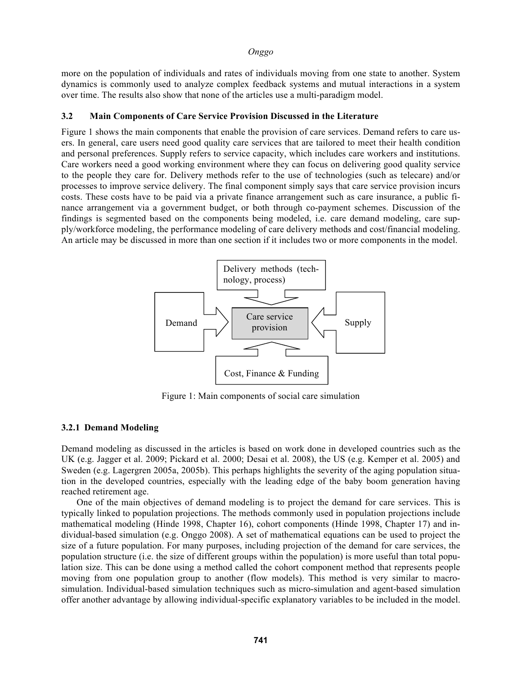more on the population of individuals and rates of individuals moving from one state to another. System dynamics is commonly used to analyze complex feedback systems and mutual interactions in a system over time. The results also show that none of the articles use a multi-paradigm model.

### **3.2 Main Components of Care Service Provision Discussed in the Literature**

Figure 1 shows the main components that enable the provision of care services. Demand refers to care users. In general, care users need good quality care services that are tailored to meet their health condition and personal preferences. Supply refers to service capacity, which includes care workers and institutions. Care workers need a good working environment where they can focus on delivering good quality service to the people they care for. Delivery methods refer to the use of technologies (such as telecare) and/or processes to improve service delivery. The final component simply says that care service provision incurs costs. These costs have to be paid via a private finance arrangement such as care insurance, a public finance arrangement via a government budget, or both through co-payment schemes. Discussion of the findings is segmented based on the components being modeled, i.e. care demand modeling, care supply/workforce modeling, the performance modeling of care delivery methods and cost/financial modeling. An article may be discussed in more than one section if it includes two or more components in the model.



Figure 1: Main components of social care simulation

## **3.2.1 Demand Modeling**

Demand modeling as discussed in the articles is based on work done in developed countries such as the UK (e.g. Jagger et al. 2009; Pickard et al. 2000; Desai et al. 2008), the US (e.g. Kemper et al. 2005) and Sweden (e.g. Lagergren 2005a, 2005b). This perhaps highlights the severity of the aging population situation in the developed countries, especially with the leading edge of the baby boom generation having reached retirement age.

One of the main objectives of demand modeling is to project the demand for care services. This is typically linked to population projections. The methods commonly used in population projections include mathematical modeling (Hinde 1998, Chapter 16), cohort components (Hinde 1998, Chapter 17) and individual-based simulation (e.g. Onggo 2008). A set of mathematical equations can be used to project the size of a future population. For many purposes, including projection of the demand for care services, the population structure (i.e. the size of different groups within the population) is more useful than total population size. This can be done using a method called the cohort component method that represents people moving from one population group to another (flow models). This method is very similar to macrosimulation. Individual-based simulation techniques such as micro-simulation and agent-based simulation offer another advantage by allowing individual-specific explanatory variables to be included in the model.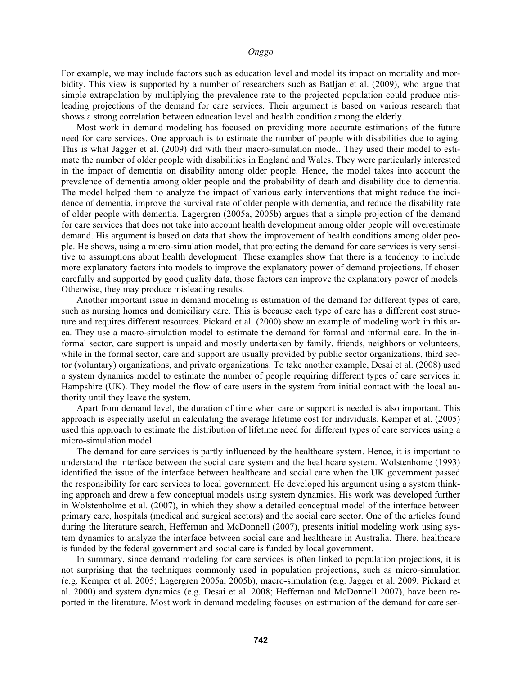For example, we may include factors such as education level and model its impact on mortality and morbidity. This view is supported by a number of researchers such as Batljan et al. (2009), who argue that simple extrapolation by multiplying the prevalence rate to the projected population could produce misleading projections of the demand for care services. Their argument is based on various research that shows a strong correlation between education level and health condition among the elderly.

Most work in demand modeling has focused on providing more accurate estimations of the future need for care services. One approach is to estimate the number of people with disabilities due to aging. This is what Jagger et al. (2009) did with their macro-simulation model. They used their model to estimate the number of older people with disabilities in England and Wales. They were particularly interested in the impact of dementia on disability among older people. Hence, the model takes into account the prevalence of dementia among older people and the probability of death and disability due to dementia. The model helped them to analyze the impact of various early interventions that might reduce the incidence of dementia, improve the survival rate of older people with dementia, and reduce the disability rate of older people with dementia. Lagergren (2005a, 2005b) argues that a simple projection of the demand for care services that does not take into account health development among older people will overestimate demand. His argument is based on data that show the improvement of health conditions among older people. He shows, using a micro-simulation model, that projecting the demand for care services is very sensitive to assumptions about health development. These examples show that there is a tendency to include more explanatory factors into models to improve the explanatory power of demand projections. If chosen carefully and supported by good quality data, those factors can improve the explanatory power of models. Otherwise, they may produce misleading results.

Another important issue in demand modeling is estimation of the demand for different types of care, such as nursing homes and domiciliary care. This is because each type of care has a different cost structure and requires different resources. Pickard et al. (2000) show an example of modeling work in this area. They use a macro-simulation model to estimate the demand for formal and informal care. In the informal sector, care support is unpaid and mostly undertaken by family, friends, neighbors or volunteers, while in the formal sector, care and support are usually provided by public sector organizations, third sector (voluntary) organizations, and private organizations. To take another example, Desai et al. (2008) used a system dynamics model to estimate the number of people requiring different types of care services in Hampshire (UK). They model the flow of care users in the system from initial contact with the local authority until they leave the system.

Apart from demand level, the duration of time when care or support is needed is also important. This approach is especially useful in calculating the average lifetime cost for individuals. Kemper et al. (2005) used this approach to estimate the distribution of lifetime need for different types of care services using a micro-simulation model.

The demand for care services is partly influenced by the healthcare system. Hence, it is important to understand the interface between the social care system and the healthcare system. Wolstenhome (1993) identified the issue of the interface between healthcare and social care when the UK government passed the responsibility for care services to local government. He developed his argument using a system thinking approach and drew a few conceptual models using system dynamics. His work was developed further in Wolstenholme et al. (2007), in which they show a detailed conceptual model of the interface between primary care, hospitals (medical and surgical sectors) and the social care sector. One of the articles found during the literature search, Heffernan and McDonnell (2007), presents initial modeling work using system dynamics to analyze the interface between social care and healthcare in Australia. There, healthcare is funded by the federal government and social care is funded by local government.

In summary, since demand modeling for care services is often linked to population projections, it is not surprising that the techniques commonly used in population projections, such as micro-simulation (e.g. Kemper et al. 2005; Lagergren 2005a, 2005b), macro-simulation (e.g. Jagger et al. 2009; Pickard et al. 2000) and system dynamics (e.g. Desai et al. 2008; Heffernan and McDonnell 2007), have been reported in the literature. Most work in demand modeling focuses on estimation of the demand for care ser-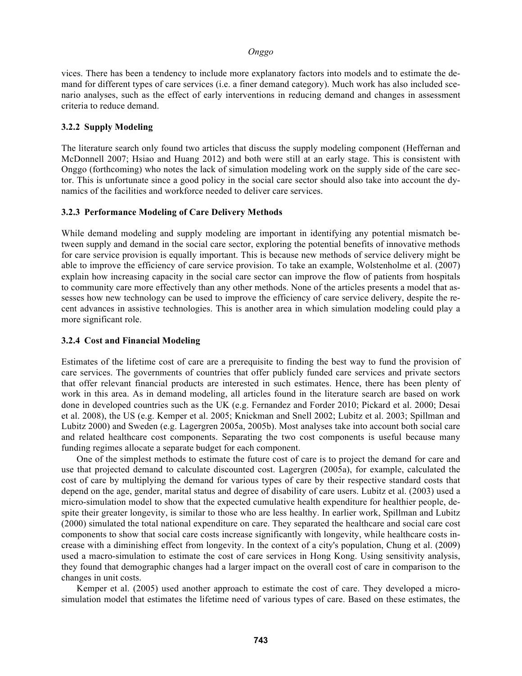vices. There has been a tendency to include more explanatory factors into models and to estimate the demand for different types of care services (i.e. a finer demand category). Much work has also included scenario analyses, such as the effect of early interventions in reducing demand and changes in assessment criteria to reduce demand.

# **3.2.2 Supply Modeling**

The literature search only found two articles that discuss the supply modeling component (Heffernan and McDonnell 2007; Hsiao and Huang 2012) and both were still at an early stage. This is consistent with Onggo (forthcoming) who notes the lack of simulation modeling work on the supply side of the care sector. This is unfortunate since a good policy in the social care sector should also take into account the dynamics of the facilities and workforce needed to deliver care services.

# **3.2.3 Performance Modeling of Care Delivery Methods**

While demand modeling and supply modeling are important in identifying any potential mismatch between supply and demand in the social care sector, exploring the potential benefits of innovative methods for care service provision is equally important. This is because new methods of service delivery might be able to improve the efficiency of care service provision. To take an example, Wolstenholme et al. (2007) explain how increasing capacity in the social care sector can improve the flow of patients from hospitals to community care more effectively than any other methods. None of the articles presents a model that assesses how new technology can be used to improve the efficiency of care service delivery, despite the recent advances in assistive technologies. This is another area in which simulation modeling could play a more significant role.

# **3.2.4 Cost and Financial Modeling**

Estimates of the lifetime cost of care are a prerequisite to finding the best way to fund the provision of care services. The governments of countries that offer publicly funded care services and private sectors that offer relevant financial products are interested in such estimates. Hence, there has been plenty of work in this area. As in demand modeling, all articles found in the literature search are based on work done in developed countries such as the UK (e.g. Fernandez and Forder 2010; Pickard et al. 2000; Desai et al. 2008), the US (e.g. Kemper et al. 2005; Knickman and Snell 2002; Lubitz et al. 2003; Spillman and Lubitz 2000) and Sweden (e.g. Lagergren 2005a, 2005b). Most analyses take into account both social care and related healthcare cost components. Separating the two cost components is useful because many funding regimes allocate a separate budget for each component.

One of the simplest methods to estimate the future cost of care is to project the demand for care and use that projected demand to calculate discounted cost. Lagergren (2005a), for example, calculated the cost of care by multiplying the demand for various types of care by their respective standard costs that depend on the age, gender, marital status and degree of disability of care users. Lubitz et al. (2003) used a micro-simulation model to show that the expected cumulative health expenditure for healthier people, despite their greater longevity, is similar to those who are less healthy. In earlier work, Spillman and Lubitz (2000) simulated the total national expenditure on care. They separated the healthcare and social care cost components to show that social care costs increase significantly with longevity, while healthcare costs increase with a diminishing effect from longevity. In the context of a city's population, Chung et al. (2009) used a macro-simulation to estimate the cost of care services in Hong Kong. Using sensitivity analysis, they found that demographic changes had a larger impact on the overall cost of care in comparison to the changes in unit costs.

Kemper et al. (2005) used another approach to estimate the cost of care. They developed a microsimulation model that estimates the lifetime need of various types of care. Based on these estimates, the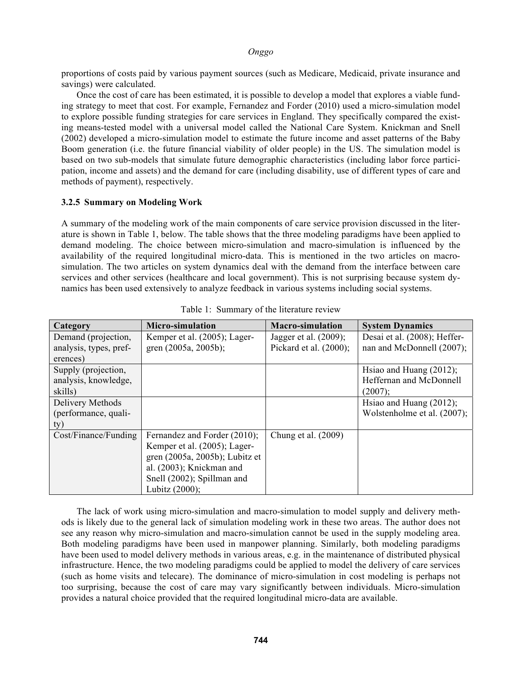proportions of costs paid by various payment sources (such as Medicare, Medicaid, private insurance and savings) were calculated.

Once the cost of care has been estimated, it is possible to develop a model that explores a viable funding strategy to meet that cost. For example, Fernandez and Forder (2010) used a micro-simulation model to explore possible funding strategies for care services in England. They specifically compared the existing means-tested model with a universal model called the National Care System. Knickman and Snell (2002) developed a micro-simulation model to estimate the future income and asset patterns of the Baby Boom generation (i.e. the future financial viability of older people) in the US. The simulation model is based on two sub-models that simulate future demographic characteristics (including labor force participation, income and assets) and the demand for care (including disability, use of different types of care and methods of payment), respectively.

# **3.2.5 Summary on Modeling Work**

A summary of the modeling work of the main components of care service provision discussed in the literature is shown in Table 1, below. The table shows that the three modeling paradigms have been applied to demand modeling. The choice between micro-simulation and macro-simulation is influenced by the availability of the required longitudinal micro-data. This is mentioned in the two articles on macrosimulation. The two articles on system dynamics deal with the demand from the interface between care services and other services (healthcare and local government). This is not surprising because system dynamics has been used extensively to analyze feedback in various systems including social systems.

| Category               | <b>Micro-simulation</b>        | <b>Macro-simulation</b>   | <b>System Dynamics</b>       |
|------------------------|--------------------------------|---------------------------|------------------------------|
| Demand (projection,    | Kemper et al. (2005); Lager-   | Jagger et al. $(2009)$ ;  | Desai et al. (2008); Heffer- |
| analysis, types, pref- | gren (2005a, 2005b);           | Pickard et al. $(2000)$ ; | nan and McDonnell (2007);    |
| erences)               |                                |                           |                              |
| Supply (projection,    |                                |                           | Hsiao and Huang $(2012)$ ;   |
| analysis, knowledge,   |                                |                           | Heffernan and McDonnell      |
| skills)                |                                |                           | $(2007)$ ;                   |
| Delivery Methods       |                                |                           | Hsiao and Huang $(2012)$ ;   |
| (performance, quali-   |                                |                           | Wolstenholme et al. (2007);  |
| ty)                    |                                |                           |                              |
| Cost/Finance/Funding   | Fernandez and Forder (2010);   | Chung et al. (2009)       |                              |
|                        | Kemper et al. (2005); Lager-   |                           |                              |
|                        | gren (2005a, 2005b); Lubitz et |                           |                              |
|                        | al. (2003); Knickman and       |                           |                              |
|                        | Snell (2002); Spillman and     |                           |                              |
|                        | Lubitz (2000);                 |                           |                              |

Table 1: Summary of the literature review

The lack of work using micro-simulation and macro-simulation to model supply and delivery methods is likely due to the general lack of simulation modeling work in these two areas. The author does not see any reason why micro-simulation and macro-simulation cannot be used in the supply modeling area. Both modeling paradigms have been used in manpower planning. Similarly, both modeling paradigms have been used to model delivery methods in various areas, e.g. in the maintenance of distributed physical infrastructure. Hence, the two modeling paradigms could be applied to model the delivery of care services (such as home visits and telecare). The dominance of micro-simulation in cost modeling is perhaps not too surprising, because the cost of care may vary significantly between individuals. Micro-simulation provides a natural choice provided that the required longitudinal micro-data are available.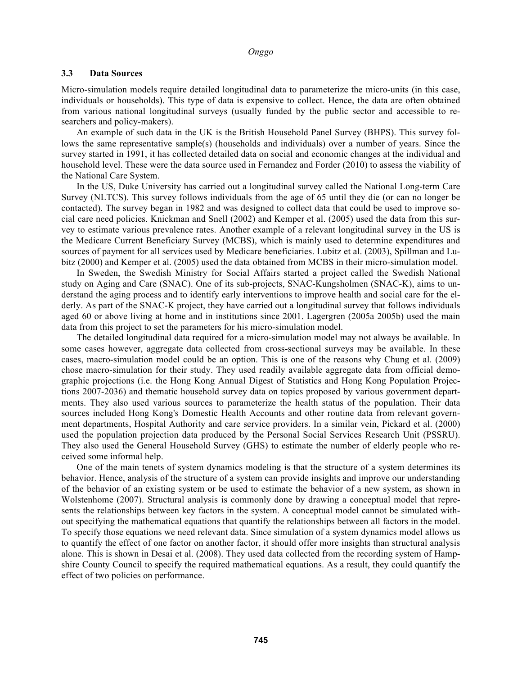#### **3.3 Data Sources**

Micro-simulation models require detailed longitudinal data to parameterize the micro-units (in this case, individuals or households). This type of data is expensive to collect. Hence, the data are often obtained from various national longitudinal surveys (usually funded by the public sector and accessible to researchers and policy-makers).

An example of such data in the UK is the British Household Panel Survey (BHPS). This survey follows the same representative sample(s) (households and individuals) over a number of years. Since the survey started in 1991, it has collected detailed data on social and economic changes at the individual and household level. These were the data source used in Fernandez and Forder (2010) to assess the viability of the National Care System.

In the US, Duke University has carried out a longitudinal survey called the National Long-term Care Survey (NLTCS). This survey follows individuals from the age of 65 until they die (or can no longer be contacted). The survey began in 1982 and was designed to collect data that could be used to improve social care need policies. Knickman and Snell (2002) and Kemper et al. (2005) used the data from this survey to estimate various prevalence rates. Another example of a relevant longitudinal survey in the US is the Medicare Current Beneficiary Survey (MCBS), which is mainly used to determine expenditures and sources of payment for all services used by Medicare beneficiaries. Lubitz et al. (2003), Spillman and Lubitz (2000) and Kemper et al. (2005) used the data obtained from MCBS in their micro-simulation model.

In Sweden, the Swedish Ministry for Social Affairs started a project called the Swedish National study on Aging and Care (SNAC). One of its sub-projects, SNAC-Kungsholmen (SNAC-K), aims to understand the aging process and to identify early interventions to improve health and social care for the elderly. As part of the SNAC-K project, they have carried out a longitudinal survey that follows individuals aged 60 or above living at home and in institutions since 2001. Lagergren (2005a 2005b) used the main data from this project to set the parameters for his micro-simulation model.

The detailed longitudinal data required for a micro-simulation model may not always be available. In some cases however, aggregate data collected from cross-sectional surveys may be available. In these cases, macro-simulation model could be an option. This is one of the reasons why Chung et al. (2009) chose macro-simulation for their study. They used readily available aggregate data from official demographic projections (i.e. the Hong Kong Annual Digest of Statistics and Hong Kong Population Projections 2007-2036) and thematic household survey data on topics proposed by various government departments. They also used various sources to parameterize the health status of the population. Their data sources included Hong Kong's Domestic Health Accounts and other routine data from relevant government departments, Hospital Authority and care service providers. In a similar vein, Pickard et al. (2000) used the population projection data produced by the Personal Social Services Research Unit (PSSRU). They also used the General Household Survey (GHS) to estimate the number of elderly people who received some informal help.

One of the main tenets of system dynamics modeling is that the structure of a system determines its behavior. Hence, analysis of the structure of a system can provide insights and improve our understanding of the behavior of an existing system or be used to estimate the behavior of a new system, as shown in Wolstenhome (2007). Structural analysis is commonly done by drawing a conceptual model that represents the relationships between key factors in the system. A conceptual model cannot be simulated without specifying the mathematical equations that quantify the relationships between all factors in the model. To specify those equations we need relevant data. Since simulation of a system dynamics model allows us to quantify the effect of one factor on another factor, it should offer more insights than structural analysis alone. This is shown in Desai et al. (2008). They used data collected from the recording system of Hampshire County Council to specify the required mathematical equations. As a result, they could quantify the effect of two policies on performance.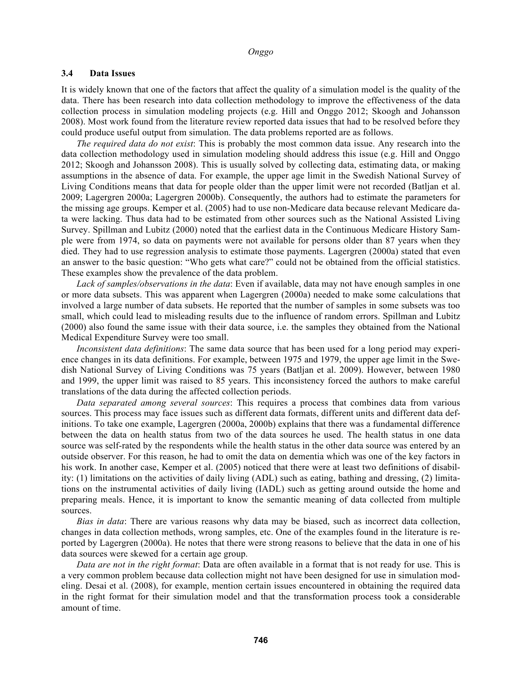#### **3.4 Data Issues**

It is widely known that one of the factors that affect the quality of a simulation model is the quality of the data. There has been research into data collection methodology to improve the effectiveness of the data collection process in simulation modeling projects (e.g. Hill and Onggo 2012; Skoogh and Johansson 2008). Most work found from the literature review reported data issues that had to be resolved before they could produce useful output from simulation. The data problems reported are as follows.

*The required data do not exist*: This is probably the most common data issue. Any research into the data collection methodology used in simulation modeling should address this issue (e.g. Hill and Onggo 2012; Skoogh and Johansson 2008). This is usually solved by collecting data, estimating data, or making assumptions in the absence of data. For example, the upper age limit in the Swedish National Survey of Living Conditions means that data for people older than the upper limit were not recorded (Batljan et al. 2009; Lagergren 2000a; Lagergren 2000b). Consequently, the authors had to estimate the parameters for the missing age groups. Kemper et al. (2005) had to use non-Medicare data because relevant Medicare data were lacking. Thus data had to be estimated from other sources such as the National Assisted Living Survey. Spillman and Lubitz (2000) noted that the earliest data in the Continuous Medicare History Sample were from 1974, so data on payments were not available for persons older than 87 years when they died. They had to use regression analysis to estimate those payments. Lagergren (2000a) stated that even an answer to the basic question: "Who gets what care?" could not be obtained from the official statistics. These examples show the prevalence of the data problem.

*Lack of samples/observations in the data*: Even if available, data may not have enough samples in one or more data subsets. This was apparent when Lagergren (2000a) needed to make some calculations that involved a large number of data subsets. He reported that the number of samples in some subsets was too small, which could lead to misleading results due to the influence of random errors. Spillman and Lubitz (2000) also found the same issue with their data source, i.e. the samples they obtained from the National Medical Expenditure Survey were too small.

*Inconsistent data definitions*: The same data source that has been used for a long period may experience changes in its data definitions. For example, between 1975 and 1979, the upper age limit in the Swedish National Survey of Living Conditions was 75 years (Batljan et al. 2009). However, between 1980 and 1999, the upper limit was raised to 85 years. This inconsistency forced the authors to make careful translations of the data during the affected collection periods.

*Data separated among several sources*: This requires a process that combines data from various sources. This process may face issues such as different data formats, different units and different data definitions. To take one example, Lagergren (2000a, 2000b) explains that there was a fundamental difference between the data on health status from two of the data sources he used. The health status in one data source was self-rated by the respondents while the health status in the other data source was entered by an outside observer. For this reason, he had to omit the data on dementia which was one of the key factors in his work. In another case, Kemper et al. (2005) noticed that there were at least two definitions of disability: (1) limitations on the activities of daily living (ADL) such as eating, bathing and dressing, (2) limitations on the instrumental activities of daily living (IADL) such as getting around outside the home and preparing meals. Hence, it is important to know the semantic meaning of data collected from multiple sources.

*Bias in data*: There are various reasons why data may be biased, such as incorrect data collection, changes in data collection methods, wrong samples, etc. One of the examples found in the literature is reported by Lagergren (2000a). He notes that there were strong reasons to believe that the data in one of his data sources were skewed for a certain age group.

*Data are not in the right format*: Data are often available in a format that is not ready for use. This is a very common problem because data collection might not have been designed for use in simulation modeling. Desai et al. (2008), for example, mention certain issues encountered in obtaining the required data in the right format for their simulation model and that the transformation process took a considerable amount of time.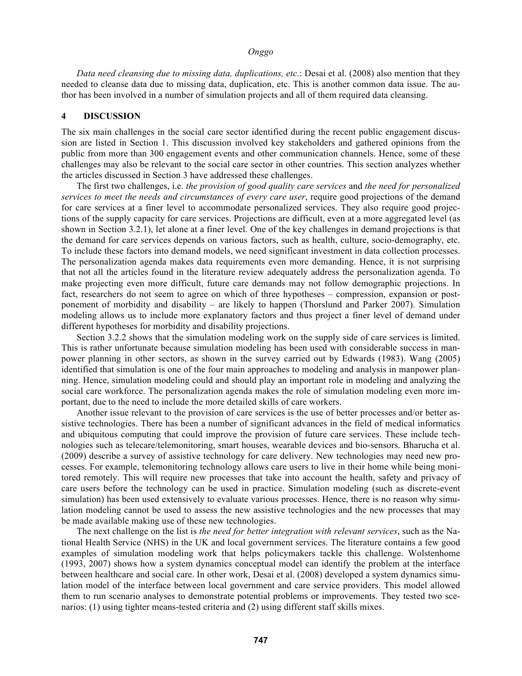*Data need cleansing due to missing data, duplications, etc.*: Desai et al. (2008) also mention that they needed to cleanse data due to missing data, duplication, etc. This is another common data issue. The author has been involved in a number of simulation projects and all of them required data cleansing.

#### **4 DISCUSSION**

The six main challenges in the social care sector identified during the recent public engagement discussion are listed in Section 1. This discussion involved key stakeholders and gathered opinions from the public from more than 300 engagement events and other communication channels. Hence, some of these challenges may also be relevant to the social care sector in other countries. This section analyzes whether the articles discussed in Section 3 have addressed these challenges.

The first two challenges, i.e. *the provision of good quality care services* and *the need for personalized services to meet the needs and circumstances of every care user*, require good projections of the demand for care services at a finer level to accommodate personalized services. They also require good projections of the supply capacity for care services. Projections are difficult, even at a more aggregated level (as shown in Section 3.2.1), let alone at a finer level. One of the key challenges in demand projections is that the demand for care services depends on various factors, such as health, culture, socio-demography, etc. To include these factors into demand models, we need significant investment in data collection processes. The personalization agenda makes data requirements even more demanding. Hence, it is not surprising that not all the articles found in the literature review adequately address the personalization agenda. To make projecting even more difficult, future care demands may not follow demographic projections. In fact, researchers do not seem to agree on which of three hypotheses – compression, expansion or postponement of morbidity and disability – are likely to happen (Thorslund and Parker 2007). Simulation modeling allows us to include more explanatory factors and thus project a finer level of demand under different hypotheses for morbidity and disability projections.

Section 3.2.2 shows that the simulation modeling work on the supply side of care services is limited. This is rather unfortunate because simulation modeling has been used with considerable success in manpower planning in other sectors, as shown in the survey carried out by Edwards (1983). Wang (2005) identified that simulation is one of the four main approaches to modeling and analysis in manpower planning. Hence, simulation modeling could and should play an important role in modeling and analyzing the social care workforce. The personalization agenda makes the role of simulation modeling even more important, due to the need to include the more detailed skills of care workers.

Another issue relevant to the provision of care services is the use of better processes and/or better assistive technologies. There has been a number of significant advances in the field of medical informatics and ubiquitous computing that could improve the provision of future care services. These include technologies such as telecare/telemonitoring, smart houses, wearable devices and bio-sensors. Bharucha et al. (2009) describe a survey of assistive technology for care delivery. New technologies may need new processes. For example, telemonitoring technology allows care users to live in their home while being monitored remotely. This will require new processes that take into account the health, safety and privacy of care users before the technology can be used in practice. Simulation modeling (such as discrete-event simulation) has been used extensively to evaluate various processes. Hence, there is no reason why simulation modeling cannot be used to assess the new assistive technologies and the new processes that may be made available making use of these new technologies.

The next challenge on the list is *the need for better integration with relevant services*, such as the National Health Service (NHS) in the UK and local government services. The literature contains a few good examples of simulation modeling work that helps policymakers tackle this challenge. Wolstenhome (1993, 2007) shows how a system dynamics conceptual model can identify the problem at the interface between healthcare and social care. In other work, Desai et al. (2008) developed a system dynamics simulation model of the interface between local government and care service providers. This model allowed them to run scenario analyses to demonstrate potential problems or improvements. They tested two scenarios: (1) using tighter means-tested criteria and (2) using different staff skills mixes.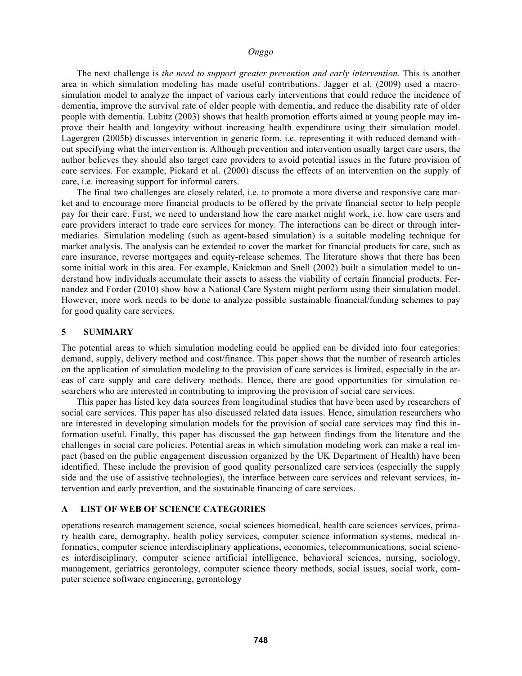The next challenge is *the need to support greater prevention and early intervention*. This is another area in which simulation modeling has made useful contributions. Jagger et al. (2009) used a macrosimulation model to analyze the impact of various early interventions that could reduce the incidence of dementia, improve the survival rate of older people with dementia, and reduce the disability rate of older people with dementia. Lubitz (2003) shows that health promotion efforts aimed at young people may improve their health and longevity without increasing health expenditure using their simulation model. Lagergren (2005b) discusses intervention in generic form, i.e. representing it with reduced demand without specifying what the intervention is. Although prevention and intervention usually target care users, the author believes they should also target care providers to avoid potential issues in the future provision of care services. For example, Pickard et al. (2000) discuss the effects of an intervention on the supply of care, i.e. increasing support for informal carers.

The final two challenges are closely related, i.e. to promote a more diverse and responsive care market and to encourage more financial products to be offered by the private financial sector to help people pay for their care. First, we need to understand how the care market might work, i.e. how care users and care providers interact to trade care services for money. The interactions can be direct or through intermediaries. Simulation modeling (such as agent-based simulation) is a suitable modeling technique for market analysis. The analysis can be extended to cover the market for financial products for care, such as care insurance, reverse mortgages and equity-release schemes. The literature shows that there has been some initial work in this area. For example, Knickman and Snell (2002) built a simulation model to understand how individuals accumulate their assets to assess the viability of certain financial products. Fernandez and Forder (2010) show how a National Care System might perform using their simulation model. However, more work needs to be done to analyze possible sustainable financial/funding schemes to pay for good quality care services.

### **5 SUMMARY**

The potential areas to which simulation modeling could be applied can be divided into four categories: demand, supply, delivery method and cost/finance. This paper shows that the number of research articles on the application of simulation modeling to the provision of care services is limited, especially in the areas of care supply and care delivery methods. Hence, there are good opportunities for simulation researchers who are interested in contributing to improving the provision of social care services.

This paper has listed key data sources from longitudinal studies that have been used by researchers of social care services. This paper has also discussed related data issues. Hence, simulation researchers who are interested in developing simulation models for the provision of social care services may find this information useful. Finally, this paper has discussed the gap between findings from the literature and the challenges in social care policies. Potential areas in which simulation modeling work can make a real impact (based on the public engagement discussion organized by the UK Department of Health) have been identified. These include the provision of good quality personalized care services (especially the supply side and the use of assistive technologies), the interface between care services and relevant services, intervention and early prevention, and the sustainable financing of care services.

## **A LIST OF WEB OF SCIENCE CATEGORIES**

operations research management science, social sciences biomedical, health care sciences services, primary health care, demography, health policy services, computer science information systems, medical informatics, computer science interdisciplinary applications, economics, telecommunications, social sciences interdisciplinary, computer science artificial intelligence, behavioral sciences, nursing, sociology, management, geriatrics gerontology, computer science theory methods, social issues, social work, computer science software engineering, gerontology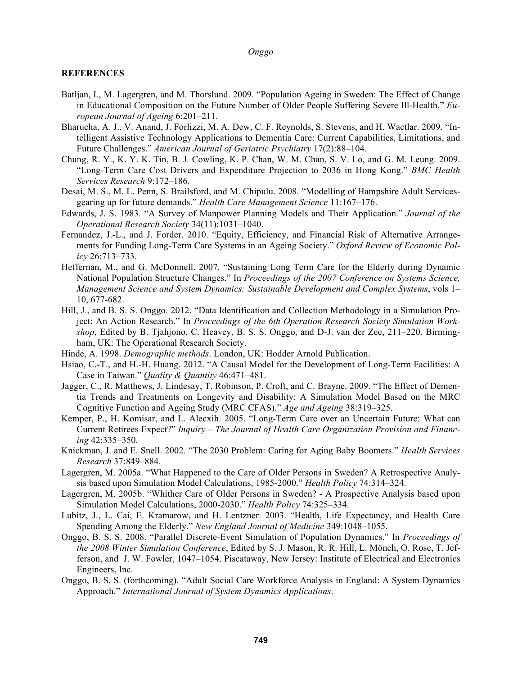## **REFERENCES**

- Batljan, I., M. Lagergren, and M. Thorslund. 2009. "Population Ageing in Sweden: The Effect of Change in Educational Composition on the Future Number of Older People Suffering Severe Ill-Health." *European Journal of Ageing* 6:201–211.
- Bharucha, A. J., V. Anand, J. Forlizzi, M. A. Dew, C. F. Reynolds, S. Stevens, and H. Wactlar. 2009. "Intelligent Assistive Technology Applications to Dementia Care: Current Capabilities, Limitations, and Future Challenges." *American Journal of Geriatric Psychiatry* 17(2):88–104.
- Chung, R. Y., K. Y. K. Tin, B. J. Cowling, K. P. Chan, W. M. Chan, S. V. Lo, and G. M. Leung. 2009. "Long-Term Care Cost Drivers and Expenditure Projection to 2036 in Hong Kong." *BMC Health Services Research* 9:172–186.
- Desai, M. S., M. L. Penn, S. Brailsford, and M. Chipulu. 2008. "Modelling of Hampshire Adult Servicesgearing up for future demands." *Health Care Management Science* 11:167–176.
- Edwards, J. S. 1983. "A Survey of Manpower Planning Models and Their Application." *Journal of the Operational Research Society* 34(11):1031–1040.
- Fernandez, J.-L., and J. Forder. 2010. "Equity, Efficiency, and Financial Risk of Alternative Arrangements for Funding Long-Term Care Systems in an Ageing Society." *Oxford Review of Economic Policy* 26:713–733.
- Heffernan, M., and G. McDonnell. 2007. "Sustaining Long Term Care for the Elderly during Dynamic National Population Structure Changes." In *Proceedings of the 2007 Conference on Systems Science, Management Science and System Dynamics: Sustainable Development and Complex Systems*, vols 1– 10, 677-682.
- Hill, J., and B. S. S. Onggo. 2012. "Data Identification and Collection Methodology in a Simulation Project: An Action Research." In *Proceedings of the 6th Operation Research Society Simulation Workshop*, Edited by B. Tjahjono, C. Heavey, B. S. S. Onggo, and D-J. van der Zee, 211–220. Birmingham, UK: The Operational Research Society.
- Hinde, A. 1998. *Demographic methods*. London, UK: Hodder Arnold Publication.
- Hsiao, C.-T., and H.-H. Huang. 2012. "A Causal Model for the Development of Long-Term Facilities: A Case in Taiwan." *Quality & Quantity* 46:471–481.
- Jagger, C., R. Matthews, J. Lindesay, T. Robinson, P. Croft, and C. Brayne. 2009. "The Effect of Dementia Trends and Treatments on Longevity and Disability: A Simulation Model Based on the MRC Cognitive Function and Ageing Study (MRC CFAS)." *Age and Ageing* 38:319–325.
- Kemper, P., H. Komisar, and L. Alecxih. 2005. "Long-Term Care over an Uncertain Future: What can Current Retirees Expect?" *Inquiry – The Journal of Health Care Organization Provision and Financing* 42:335–350.
- Knickman, J. and E. Snell. 2002. "The 2030 Problem: Caring for Aging Baby Boomers." *Health Services Research* 37:849–884.
- Lagergren, M. 2005a. "What Happened to the Care of Older Persons in Sweden? A Retrospective Analysis based upon Simulation Model Calculations, 1985-2000." *Health Policy* 74:314–324.
- Lagergren, M. 2005b. "Whither Care of Older Persons in Sweden? A Prospective Analysis based upon Simulation Model Calculations, 2000-2030." *Health Policy* 74:325–334.
- Lubitz, J., L. Cai, E. Kramarow, and H. Lentzner. 2003. "Health, Life Expectancy, and Health Care Spending Among the Elderly." *New England Journal of Medicine* 349:1048–1055.
- Onggo, B. S. S. 2008. "Parallel Discrete-Event Simulation of Population Dynamics." In *Proceedings of the 2008 Winter Simulation Conference*, Edited by S. J. Mason, R. R. Hill, L. Mönch, O. Rose, T. Jefferson, and J. W. Fowler, 1047–1054. Piscataway, New Jersey: Institute of Electrical and Electronics Engineers, Inc.
- Onggo, B. S. S. (forthcoming). "Adult Social Care Workforce Analysis in England: A System Dynamics Approach." *International Journal of System Dynamics Applications*.